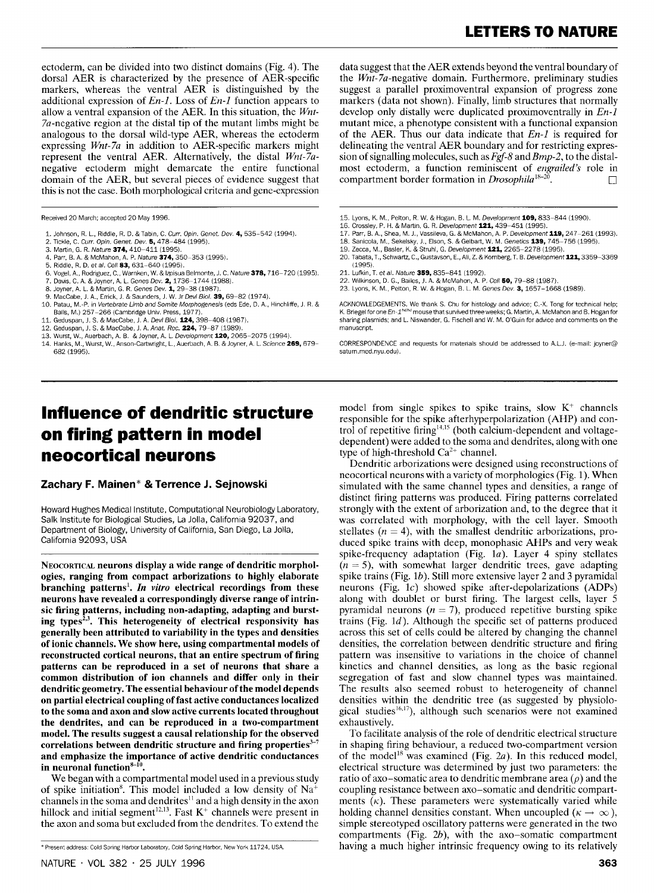ectoderm, can be divided into two distinct domains (Fig. 4). The dorsal AER is characterized by the presence of AER-specific markers, whereas the ventral AER is distinguished by the additional expression of  $En-1$ . Loss of  $En-1$  function appears to allow a ventral expansion of the AER. In this situation, the Wnt-7a-negative region at the distal tip of the mutant limbs might be analogous to the dorsal wild-type AER, whereas the ectoderm expressing Wnt-7a in addition to AER-specific markers might represent the ventral AER. Alternatively, the distal Wnt-7anegative ectoderm might demarcate the entire functional domain of the AER, but several pieces of evidence suggest that this is not the case. Both morphological criteria and gene-expression

Received 20 March; accepted 20 May 1996.

- 1. Johnson, R. L., Riddle, R. D. & Tabin, C. *Curr. Opin. Genet. Dev. 4, 535–542 (1994).*<br>2. Tickle, C*. Curr. Opin. Genet. Dev.* **5,** 478–484 (1995).
- 
- 3. Martin, G. R. Nature 374, 410-411 (1995). 4. Parr. B. A. & McMahon, A. P. Nature 374,350-353 (1995).
- 5. Riddle, R. D. et al. Cell 83, 631-640 (1995).
- 6. Vogel, A., Rodriguez, C., Warnken, W. & Izpisua Belmonte, J. C. Nature **378,** 716–720 (1995).<br>7. Davis, C. A. & Joyner, A. L. Genes Dev. **2,** 1736–1744 (1988).
- 
- 8. Joyner, A. L. & Martin, G. R. Genes Dev. 1, 29-38 (1987). 9. MacCabe, J. A., Errick, J. & Saunders, J. W. Jr Devi Biol. 39. 69-82 (1974).
- 10. Patau, M.-P. in Vertebrate Limb and Somite Morphogenesis (eds Ede, D. A., Hinchliffe, J. R. &
- Balls, M.) 257–266 (Cambridge Univ. Press, 1977).<br>11. Geduspan, J. S. & MacCabe, J. A. *Devl Biol*. **124,** 398–408 (1987).
- 12. Geduspan, J. S. & MacCabe, J. A. Anat. Rec. 224, 79-87 (1989).
- 13. Wurst, W., Auerbach, A. B. & Joyner, A. L. Development 120, 2065-2075 (1994).
- 14. Hanks, M., Wurst, W., Anson-Cartwright, L., Auerbach, A. B. & Joyner, A. L. Science 269, 679-682 (1995).

## **Influence of dendritic structure on firing pattern in model neocortical neurons**

**Zachary F. Mainen\*** & **Terrence J. Sejnowski** 

Howard Hughes Medical Institute, Computational Neurobiology Laboratory, Salk Institute for Biological Studies, La Jolla, California 92037, and Department of Biology, University of California, San Diego, La Jolla, Califomla 92093, USA

NEOCORTICAL neurons display a wide range of dendritic morphol**ogies, ranging from compact arhorizations to highly elaborate branching patterns'.** *In* **vitro electrical recordings from these neurons have revealed a correspondingly diverse range of intrinsic firing patterns, including non-adapting, adapting and burst**ing types<sup>2,3</sup>. This heterogeneity of electrical responsivity has **generally been attributed to variability in the types and densities of ionic channels. We show here, using compartmental models of reconstructed cortical neurons, that an entire spectrum of firing patterns can be reproduced in a set of neurons that share a common distribution of ion channels and differ only in their dendritic geometry. The essential behaviour of the model depends on partial electrical coupling of fast active conductances localized to the soma and axon and slow active currents located throughout the dendrites, and can be reproduced in a two-compartment model. The results suggest a causal relationship for the observed**  correlations between dendritic structure and firing properties<sup>3-7</sup> **and emphasize the importance of active dendritic conductances**  in neuronal function<sup>8-10</sup>.

We began with a compartmental model used in a previous study of spike initiation<sup>8</sup>. This model included a low density of  $Na<sup>+</sup>$ channels in the soma and dendrites $\mathbf{S}^{11}$  and a high density in the axon hillock and initial segment<sup>12,13</sup>. Fast  $K^+$  channels were present in the axon and soma but excluded from the dendrites. To extend the

data suggest that the AER extends beyond the ventral boundary of the Wnt-7a-negative domain. Furthermore, preliminary studies suggest a parallel proximoventral expansion of progress zone markers (data not shown). Finally, limb structures that normally develop only distally were duplicated proximoventrally in En-I mutant mice, a phenotype consistent with a functional expansion of the AER. Thus our data indicate that  $En-1$  is required for delineating the ventral AER boundary and for restricting expression of signalling molecules, such as *Fgf-8* and Bmp-2, to the distalmost ectoderm, a function reminiscent of engrailed's role in compartment border formation in *Drosophila*<sup>18-20</sup>.

- 15. Lyons, K. M., Pelton, R. W. & Hogan, B. L. M. Development 109, 833-844 (1990).
- 16. Crossley, P. H. & Martin, G. R. Development 121, 439-451 (1995).
- 17. Parr, B. A., Shea, M. J., Vassileva, G. & McMahon, A. P. *Development* **119,** 247–261 (1993).<br>18. Sanicola, M., Sekelsky, J., Elson, S. & Gelbart, W. M. Genetics **139,** 745–756 (1995).
- 
- 19. Zecca, M., Basler, K. & Struhl, G. Deveiopment 121, 2265-2278 (1995).
- 20. Tabata, T., Schwartz, C., Gustavson, E., Ali, Z. & Kornberg, T. B. Development 121, 3359-3369 (1995).
- 21. Lufkin, T. et al. Nature 359, 835-841 (1992).
- 
- 22. Wilkinson, D. G., Bailes, J. A. & McMahon, A. P*. Cell 50, 79–88 (1987).*<br>23. Lyons, K. M., Pelton, R. W. & Hogan, B. L. M. Ge*nes Dev.* **3,** 1657–1668 (1989)

ACKNOWLEDGEMENTS. We thank S. Chu for histology and advice; C.-X. Tong for technical help; K. Briegel for one En-1<sup>hd/hd</sup> mouse that survived three weeks; G. Martin, A. McMahon and B. Hogan for sharing plasmids; and L. Niswander, G. Fischell and W. M. O'Guin for advice and comments on the manuscript

CORRESPONDENCE and requests for materials should be addressed to A.L.J. (e-mail: joyner@ saturn.med.nyu.edu).

model from single spikes to spike trains, slow  $K^+$  channels responsible for the spike afterhyperpolarization (AHP) and control of repetitive firing $14,15$  (both calcium-dependent and voltagedependent) were added to the soma and dendrites, along with one type of high-threshold  $Ca^{2+}$  channel.

Dendritic arborizations were designed using reconstructions of neocortical neurons with a variety of morphologies (Fig. 1). When simulated with the same channel types and densities, a range of distinct firing patterns was produced. Firing patterns correlated strongly with the extent of arborization and, to the degree that it was correlated with morphology, with the cell layer. Smooth stellates  $(n = 4)$ , with the smallest dendritic arborizations, produced spike trains with deep, monophasic AHPs and very weak spike-frequency adaptation (Fig. 1a). Layer 4 spiny stellates  $(n = 5)$ , with somewhat larger dendritic trees, gave adapting spike trains (Fig. lb). Still more extensive layer 2 and 3 pyramidal neurons (Fig. lc) showed spike after-depolarizations (ADPs) along with doublet or burst firing. The largest cells, layer 5 pyramidal neurons ( $n = 7$ ), produced repetitive bursting spike trains (Fig. Id). Although the specific set of patterns produced across this set of cells could be altered by changing the channel densities, the correlation between dendritic structure and firing pattern was insensitive to variations in the choice of channel kinetics and channel densities, as long as the basic regional segregation of fast and slow channel types was maintained. The results also seemed robust to heterogeneity of channel densities within the dendritic tree (as suggested by physiological studies<sup>16,17</sup>), although such scenarios were not examined exhaustively.

To facilitate analysis of the role of dendritic electrical structure in shaping firing behaviour, a reduced two-compartment version of the model<sup>18</sup> was examined (Fig. 2a). In this reduced model, electrical structure was determined by just two parameters: the ratio of axo-somatic area to dendritic membrane area  $(\rho)$  and the coupling resistance between axo-somatic and dendritic compartments  $(\kappa)$ . These parameters were systematically varied while holding channel densities constant. When uncoupled ( $\kappa \to \infty$ ), simple stereotyped oscillatory patterns were generated in the two compartments (Fig. *2b),* with the axo-somatic compartment having a much higher intrinsic frequency owing to its relatively

<sup>\*</sup> Present address: Cold Spring Harbor Laboratory, Cold Spring Harbor, New York 11724, USA.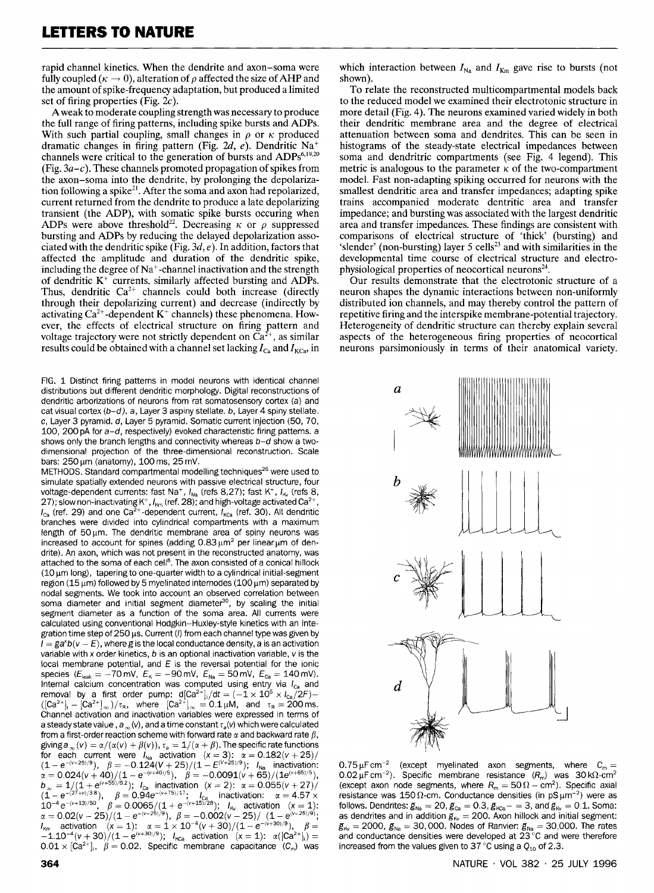rapid channel kinetics. When the dendrite and axon-soma were fully coupled ( $\kappa \to 0$ ), alteration of  $\rho$  affected the size of AHP and the amount of spike-frequency adaptation, but produced a limited set of firing properties (Fig.  $2c$ ).

Aweak to moderate coupling strength was necessary to produce the full range of firing patterns, including spike bursts and ADPs. With such partial coupling, small changes in  $\rho$  or  $\kappa$  produced dramatic changes in firing pattern (Fig. 2d, e). Dendritic Na<sup>+</sup> channels were critical to the generation of bursts and ADPs $6,19,20$ (Fig.  $3a-c$ ). These channels promoted propagation of spikes from the axon-soma into the dendrite, by prolonging the depolarization following a spike<sup>21</sup>. After the soma and axon had repolarized, current returned from the dendrite to produce a late depolarizing transient (the ADP), with somatic spike bursts occuring when ADPs were above threshold<sup>22</sup>. Decreasing  $\kappa$  or  $\rho$  suppressed bursting and ADPs by reducing the delayed depolarization associated with the dendritic spike (Fig.  $3d, e$ ). In addition, factors that affected the amplitude and duration of the dendritic spike, including the degree of Na+-channel inactivation and the strength of dendritic  $K^+$  currents, similarly affected bursting and ADPs. Thus, dendritic  $Ca^{2+}$  channels could both increase (directly through their depolarizing current) and decrease (indirectly by activating  $Ca^{2+}$ -dependent  $K^+$  channels) these phenomena. However, the effects of electrical structure on firing pattern and voltage trajectory were not strictly dependent on  $\bar{C}a^{2+}$ , as similar results could be obtained with a channel set lacking  $I_{Ca}$  and  $I_{KCa}$ , in

FIG. 1 Distinct firing patterns in model neurons with identical channel distributions but different dendritic morphology. Digital reconstructions of dendritic arborizations of neurons from rat somatosensory cortex (a) and cat visual cortex  $(b-d)$ . a, Layer 3 aspiny stellate. b, Layer 4 spiny stellate. c, Layer 3 pyramid. d, Layer 5 pyramid. Somatic current injection (50, 70, 100, 200 pA for a-d, respectively) evoked characteristic firing patterns. a shows only the branch lengths and connectivity whereas  $b-d$  show a twodimensional projection of the three-dimensional reconstruction. Scale bars: 250 μm (anatomy), 100 ms, 25 mV.

METHODS. Standard compartmental modelling techniques<sup>26</sup> were used to simulate spatially extended neurons with passive electrical structure, four voltage-dependent currents: fast Na<sup>+</sup>,  $I_{Na}$  (refs 8,27); fast K<sup>+</sup>,  $I_{Kv}$  (refs 8, 27); slow non-inactivating  $K^+$ ,  $I_{Km}$  (ref. 28); and high-voltage activated Ca<sup>2-</sup>  $I_{\text{ca}}$  (ref. 29) and one Ca<sup>2+</sup>-dependent current,  $I_{\text{Kca}}$  (ref. 30). All dendritic branches were divided into cylindrical compartments with a maximum length of  $50 \mu m$ . The dendritic membrane area of spiny neurons was increased to account for spines (adding  $0.83 \mu m^2$  per linear um of dendrite). An axon, which was not present in the reconstructed anatomy, was attached to the soma of each cell<sup>8</sup>. The axon consisted of a conical hillock  $(10 \,\mu m \, \text{long})$ , tapering to one-quarter width to a cylindrical initial-segment region (15  $\mu$ m) followed by 5 myelinated internodes (100  $\mu$ m) separated by nodal segments. We took into account an observed correlation between soma diameter and initial segment diameter<sup>30</sup>, by scaling the initial segment diameter as a function of the soma area. All currents were calculated using conventional Hodgkin-Huxley-style kinetics with an integration time step of 250  $\mu$ s. Current (*I*) from each channel type was given by  $\overline{I} = \overline{g}a^{x}b(v - E)$ , where g is the local conductance density, a is an activation variable with x order kinetics,  $b$  is an optional inactivation variable,  $v$  is the local membrane potential, and  $E$  is the reversal potential for the ionic species ( $E_{\text{leak}} = -70 \text{ mV}$ ,  $E_{\text{K}} = -90 \text{ mV}$ ,  $E_{\text{Na}} = 50 \text{ mV}$ ,  $E_{\text{Ca}} = 140 \text{ mV}$ ). Internal calcium concentration was computed using entry via  $I_{\text{ca}}$  and removal by a first order pump:  $d[Ca^{2+}]_i/dt = (-1 \times 10^5 \times I_{ca}^2/2F) -$ <br>([Ca<sup>2+</sup>], - [Ca<sup>2+</sup>]<sub>∞</sub>)/ $\tau_R$ , where [Ca<sup>2+</sup>]<sub>∞</sub> = 0.1µM, and  $\tau_R$  = 200ms. Channel activation and inactivation variables were expressed in terms of a steady state value,  $a_{\infty}(v)$ , and a time constant  $\tau_a(v)$  which were calculated from a first-order reaction scheme with forward rate  $\alpha$  and backward rate  $\beta$ , giving  $a_{\infty}(v) = \alpha/(\alpha(v) + \beta(v))$ ,  $\tau_a = 1/(\alpha + \beta)$ . The specific rate functions for each current were  $I_{\text{Na}}$  activation  $(x = 3)$ :  $\alpha = 0.182(v + 25)$ / for each current were  $I_{\text{Na}}$  activation  $(x = 3)$ :  $\alpha = 0.182(v + 25)/(1 - e^{-(v + 25)/9})$ ,  $\beta = -0.124(v + 25)/(1 - e^{-(v + 25)/9})$ ;  $I_{\text{Na}}$  inactivation:<br> $\alpha = 0.024(v + 40)/(1 - e^{-(v + 40)/5})$ ,  $\beta = -0.0091(v + 65)/(1e^{((v + 65)/5)})$ ,<br> $b_{\infty} = 1/(1 + e^{(v$  $e^{-(27+\nu)/38}$ ;  $\beta = 0.94e^{-(\nu+75)/17}$ ;  $\beta = 0.94e^{-(\nu+75)/17}$ ;  $\beta = 0.94e^{-(\nu+75)/17}$ ;  $\beta = 0.94e^{-(\nu+75)/17}$ ;  $\beta = 0.94e^{-(\nu+75)/17}$ ;  $\beta = 0.94e^{-(\nu+75)/17}$ ;  $\beta = 0.94e^{-(\nu+75)/17}$ ;  $\beta = 0.94e^{-(\nu+75)/17}$ ;  $\beta = 0.94e^{-(\nu$  $(1-e^{-(\kappa+4)/3.8}), \beta = 0.94e^{-(\kappa+6)/4}; \quad l_{\rm Ca}$  inactivation:  $\alpha = 4.57 \times 10^{-4} e^{-(\kappa+13)/50}, \beta = 0.0065/(1+e^{-(\kappa+15)/28}); \quad l_{\rm K}$  activation  $(\kappa = 1):$  $10^{-4} e^{-(v+13)/30}$ ,  $\beta = 0.0065/(1 + e^{-(v+15)/26})$ ;  $I_{\kappa_v}$  activation  $(x = 1)$ :<br>  $\alpha = 0.02(v - 25)/(1 - e^{-(v-25)/9})$ ,  $\beta = -0.002(v - 25)/(1 - e^{(v-25)/9})$ ;  $\alpha = 0.02(v - 25)/(1 - e^{-(v - 25)/9}), \ \beta = -0.002(v - 25)/(1 - e^{-(v - 25)/9}); \ \eta_{\text{km}}$  activation  $(x = 1); \alpha = 1 \times 10^{-4}(v + 30)/(1 - e^{-(v + 30)/9}), \ \beta =$  $\int_{k_{\rm NN}}$  activation  $(x = 1)$ :  $\alpha = 1 \times 10^{-4}(v + 30)/(1 - e^{-(v+30)/9})$ ,  $\beta =$ <br> $-1.10^{-4}(v + 30)/(1 - e^{(v+30)/9})$ ;  $\int_{k_{\rm CG}}$  activation  $(x = 1)$ :  $\alpha([Ca^{2+1}]_0) =$  $0.01 \times [Ca^{2+}]_1$ ,  $\hat{\beta} = 0.02$ . Specific membrane capacitance  $(C_m)$  was

which interaction between  $I_{\text{Na}}$  and  $I_{\text{Km}}$  gave rise to bursts (not shown).

To relate the reconstructed multicompartmental models back to the reduced model we examined their electrotonic structure in more detail (Fig. 4). The neurons examined varied widely in both their dendritic membrane area and the degree of electrical attenuation between soma and dendrites. This can be seen in histograms of the steady-state electrical impedances between soma and dendritric compartments (see Fig. 4 legend). This metric is analogous to the parameter  $\kappa$  of the two-compartment model. Fast non-adapting spiking occurred for neurons with the smallest dendritic area and transfer impedances; adapting spike trains accompanied moderate dentritic area and transfer impedance; and bursting was associated with the largest dendritic area and transfer impedances. These findings are consistent with comparisons of electrical structure of 'thick' (bursting) and 'slender' (non-bursting) layer 5 cells<sup>23</sup> and with similarities in the developmental time course of electrical structure and electrophysiological properties of neocortical neurons $24$ .

Our results demonstrate that the electrotonic structure of a neuron shapes the dynamic interactions between non-uniformly distributed ion channels, and may thereby control the pattern of repetitive firing and the interspike membrane-potential trajectory. Heterogeneity of dendritic structure can thereby explain several aspects of the heterogeneous firing properties of neocortical neurons parsimoniously in terms of their anatomical variety.



0.75  $\mu$ F cm<sup>-2</sup> (except myelinated axon segments, where  $C_m =$  $0.02 \mu$ F cm<sup>-2</sup>). Specific membrane resistance  $(R_m)$  was 30 k $\Omega$ -cm<sup>2</sup> (except axon node segments, where  $R_m = 50 \Omega - cm^2$ ). Specific axial resistance was 150  $\Omega$ -cm. Conductance densities (in pS  $\mu$ m<sup>-2</sup>) were as follows. Dendrites:  $g_{\text{Na}} = 20$ ,  $g_{\text{Ca}} = 0.3$ ,  $g_{\text{KCa}} = 3$ , and  $g_{\text{Ka}} = 0.1$ . Soma: as dendrites and in addition  $g_{\scriptscriptstyle\rm{iv}}=200$ . Axon hillock and initial segment:  $g_{\text{iv}} = 2000$ ,  $g_{\text{Na}} = 30,000$ . Nodes of Ranvier:  $g_{\text{Na}} = 30,000$ . The rates and conductance densities were developed at  $23^{\circ}$ C and were therefore increased from the values given to 37 "C using a **Q,,** of 2.3.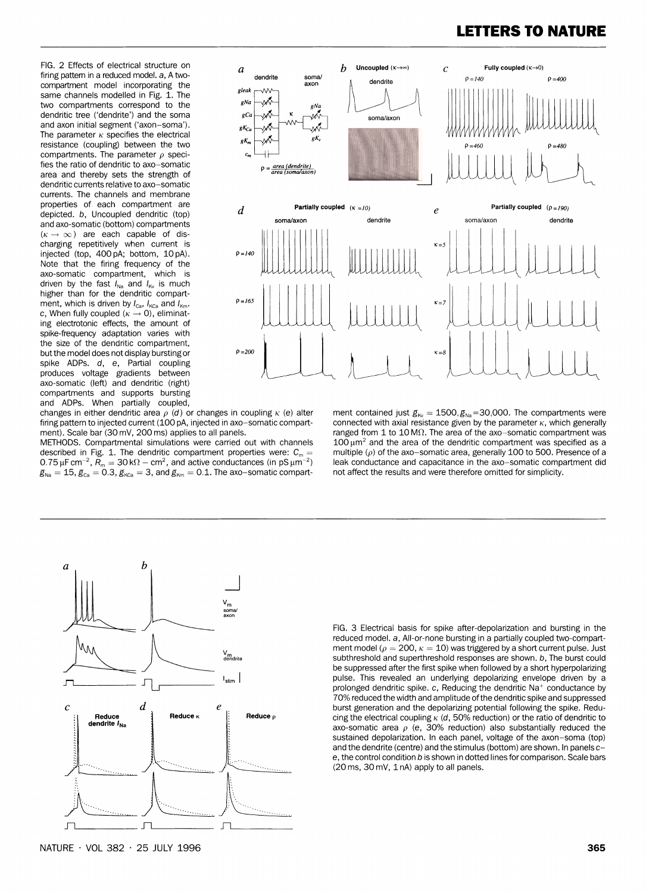### **LETTERS TO NATURE**

compartment model incorporating the **gleak** same channels modelled in Fig. 1. The two compartments correspond to the dendritic tree ('dendrite') and the soma **g**ca and axon initial segment ('axon-soma').  $gK_{Ca}$ The parameter  $\kappa$  specifies the electrical Fine parameter  $\kappa$  specifies the electrical  $gK_m$   $gK_m$   $gK_m$ compartments. The parameter  $\rho$  speci-  $c_n$ fies the ratio of dendritic to axo-somatic  $\rho = \frac{area (dendrite)}{area (somavaxoni)}$ area and thereby sets the strength of dendritic currents relative to axo-somatic currents. The channels and membrane<br>properties of each compartment are charging repetitively when current is injected (top,  $400 \text{ pA}$ ; bottom,  $10 \text{ pA}$ ).  $P = 140$ Note that the firing frequency of the axo-somatic compartment, which is axo-somatic compartment, which is<br>driven by the fast I<sub>Na</sub> and I<sub>Kv</sub> is much<br>higher than for the dendritic compartment, which is driven by  $I_{Ca}$ ,  $I_{KCa}$  and  $I_{Km}$ .  $P = 165$ c, When fully coupled  $(\kappa \rightarrow 0)$ , eliminating electrotonic effects, the amount of spike-frequency adaptation varies with the size of the dendritic compartment, but the model does not display bursting or spike ADPs. d, e, Partial coupling produces voltage gradients between axo-somatic (left) and dendritic (right) compartments and supports bursting



and ADPs. When partially coupled,<br>changes in either dendritic area  $\rho$  (d) or changes in coupling  $\kappa$  (e) alter

METHODS. Compartmental simulations were carried out with channels described in Fig. 1. The dendritic compartment properties were:  $C_m =$  multiple ( $\rho$ ) of the axo-somatic area, generally 100 to 500. Presence of a<br>0.75 µF cm<sup>-2</sup>, R<sub>m</sub> = 30 kΩ – cm<sup>2</sup>, and active conductances (in pS µm<sup>-2</sup>  $0.75 \mu F$  cm<sup>-2</sup>,  $\overline{R}_m = 30 \text{ k}\Omega - \text{cm}^2$ , and active conductances (in pS  $\mu$ m<sup>-2</sup>) leak conductance and capacitance in the axo-somatic compart-<br> $g_{\text{Na}} = 15$ ,  $g_{\text{Ca}} = 0.3$ ,  $g_{\text{Kca}} = 3$ , and  $g_{\text{Km}} = 0.1$ . The  $g_{\text{Na}} = 15$ ,  $g_{\text{Ca}} = 0.3$ ,  $g_{\text{KCa}} = 3$ , and  $g_{\text{Km}} = 0.1$ . The axo-somatic compart-

changes in either dendritic area  $\rho$  (d) or changes in coupling  $\kappa$  (e) alter ment contained just  $g_{\kappa} = 1500, g_{\kappa} = 30,000$ . The compartments were firing pattern to injected current (100 pA, injected in axo-somatic firing pattern to injected current (100 pA, injected in axo-somatic compart-<br>ment). Scale bar (30 mV, 200 ms) applies to all panels.<br>ment). Scale bar (30 mV, 200 ms) applies to all panels.<br>and the parameter on 1 to 10 M $\$ ranged from 1 to 10 M $\Omega$ . The area of the axo-somatic compartment was 100  $\mu$ m<sup>2</sup> and the area of the dendritic compartment was specified as a



FIG. 3 Electrical basis for spike after-depolarization and bursting in the reduced model. a, All-or-none bursting in a partially coupled two-compartment model ( $\rho = 200$ ,  $\kappa = 10$ ) was triggered by a short current pulse. Just subthreshold and superthreshold responses are shown. b, The burst could be suppressed after the first spike when followed by a short hyperpolarizing pulse. This revealed an underlying depolarizing envelope driven by a prolonged dendritic spike. c, Reducing the dendritic Na<sup>+</sup> conductance by 70% reduced the width and amplitude ofthe dendritic spike and suppressed burst generation and the depolarizing potential following the spike. Reducing the electrical coupling  $\kappa$  (d, 50% reduction) or the ratio of dendritic to axo-somatic area  $\rho$  (e, 30% reduction) also substantially reduced the sustained depolarization. In each panel, voltage of the axon-soma (top) and the dendrite (centre) and the stimulus (bottom) are shown. In panels ce, the control condition b is shown in dotted lines for comparison. Scale bars (20 ms, 30 mV, 1 nA) apply to all panels.